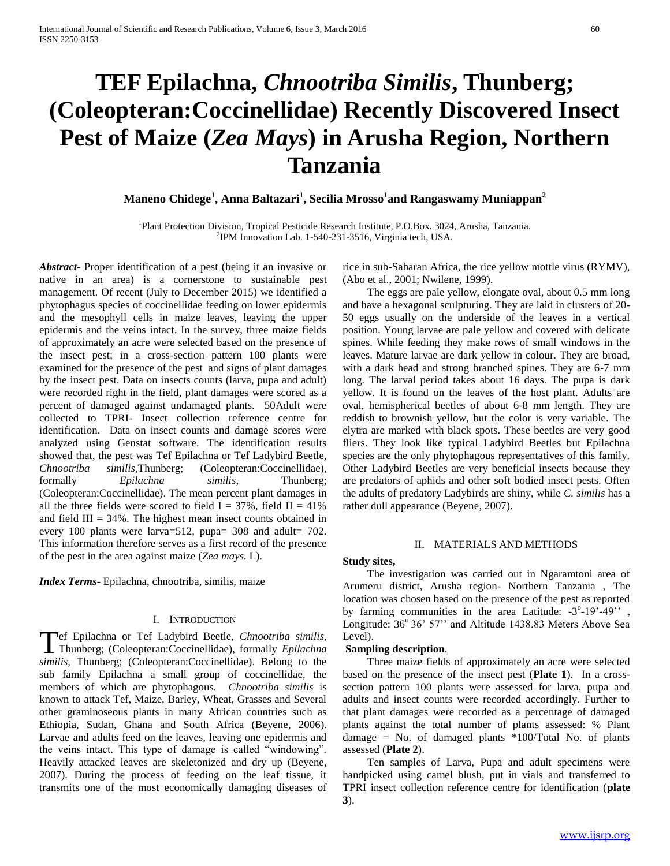# **TEF Epilachna,** *Chnootriba Similis***, Thunberg; (Coleopteran:Coccinellidae) Recently Discovered Insect Pest of Maize (***Zea Mays***) in Arusha Region, Northern Tanzania**

**Maneno Chidege<sup>1</sup> , Anna Baltazari<sup>1</sup> , Secilia Mrosso<sup>1</sup> and Rangaswamy Muniappan<sup>2</sup>**

<sup>1</sup>Plant Protection Division, Tropical Pesticide Research Institute, P.O.Box. 3024, Arusha, Tanzania. 2 IPM Innovation Lab. 1-540-231-3516, Virginia tech, USA.

*Abstract***-** Proper identification of a pest (being it an invasive or native in an area) is a cornerstone to sustainable pest management. Of recent (July to December 2015) we identified a phytophagus species of coccinellidae feeding on lower epidermis and the mesophyll cells in maize leaves, leaving the upper epidermis and the veins intact. In the survey, three maize fields of approximately an acre were selected based on the presence of the insect pest; in a cross-section pattern 100 plants were examined for the presence of the pest and signs of plant damages by the insect pest. Data on insects counts (larva, pupa and adult) were recorded right in the field, plant damages were scored as a percent of damaged against undamaged plants. 50Adult were collected to TPRI- Insect collection reference centre for identification. Data on insect counts and damage scores were analyzed using Genstat software. The identification results showed that, the pest was Tef Epilachna or Tef Ladybird Beetle, *Chnootriba similis*,Thunberg; (Coleopteran:Coccinellidae), formally *Epilachna similis*, Thunberg; (Coleopteran:Coccinellidae). The mean percent plant damages in all the three fields were scored to field  $I = 37\%$ , field  $II = 41\%$ and field  $III = 34\%$ . The highest mean insect counts obtained in every 100 plants were larva=512, pupa=  $308$  and adult=  $702$ . This information therefore serves as a first record of the presence of the pest in the area against maize (*Zea mays.* L).

*Index Terms*- Epilachna, chnootriba, similis, maize

#### I. INTRODUCTION

ef Epilachna or Tef Ladybird Beetle, *Chnootriba similis*, Thunberg; (Coleopteran:Coccinellidae), formally *Epilachna Thunberg*; (Coleopteran:Coccinellidae), formally *Epilachna similis,* Thunberg; (Coleopteran:Coccinellidae). Belong to the sub family Epilachna a small group of coccinellidae, the members of which are phytophagous. *Chnootriba similis* is known to attack Tef, Maize, Barley, Wheat, Grasses and Several other graminoseous plants in many African countries such as Ethiopia, Sudan, Ghana and South Africa (Beyene, 2006). Larvae and adults feed on the leaves, leaving one epidermis and the veins intact. This type of damage is called "windowing". Heavily attacked leaves are skeletonized and dry up (Beyene, 2007). During the process of feeding on the leaf tissue, it transmits one of the most economically damaging diseases of

rice in sub-Saharan Africa, the rice yellow mottle virus (RYMV), (Abo et al., 2001; Nwilene, 1999).

 The eggs are pale yellow, elongate oval, about 0.5 mm long and have a hexagonal sculpturing. They are laid in clusters of 20- 50 eggs usually on the underside of the leaves in a vertical position. Young larvae are pale yellow and covered with delicate spines. While feeding they make rows of small windows in the leaves. Mature larvae are dark yellow in colour. They are broad, with a dark head and strong branched spines. They are 6-7 mm long. The larval period takes about 16 days. The pupa is dark yellow. It is found on the leaves of the host plant. Adults are oval, hemispherical beetles of about 6-8 mm length. They are reddish to brownish yellow, but the color is very variable. The elytra are marked with black spots. These beetles are very good fliers. They look like typical Ladybird Beetles but Epilachna species are the only phytophagous representatives of this family. Other Ladybird Beetles are very beneficial insects because they are predators of aphids and other soft bodied insect pests. Often the adults of predatory Ladybirds are shiny, while *C. similis* has a rather dull appearance (Beyene, 2007).

# II. MATERIALS AND METHODS

## **Study sites,**

 The investigation was carried out in Ngaramtoni area of Arumeru district, Arusha region- Northern Tanzania , The location was chosen based on the presence of the pest as reported by farming communities in the area Latitude:  $-3^{\circ}-19^{\circ}-49^{\circ}$ , Longitude: 36° 36' 57" and Altitude 1438.83 Meters Above Sea Level).

#### **Sampling description**.

 Three maize fields of approximately an acre were selected based on the presence of the insect pest (**Plate 1**). In a crosssection pattern 100 plants were assessed for larva, pupa and adults and insect counts were recorded accordingly. Further to that plant damages were recorded as a percentage of damaged plants against the total number of plants assessed: % Plant damage = No. of damaged plants \*100/Total No. of plants assessed (**Plate 2**).

 Ten samples of Larva, Pupa and adult specimens were handpicked using camel blush, put in vials and transferred to TPRI insect collection reference centre for identification (**plate 3**).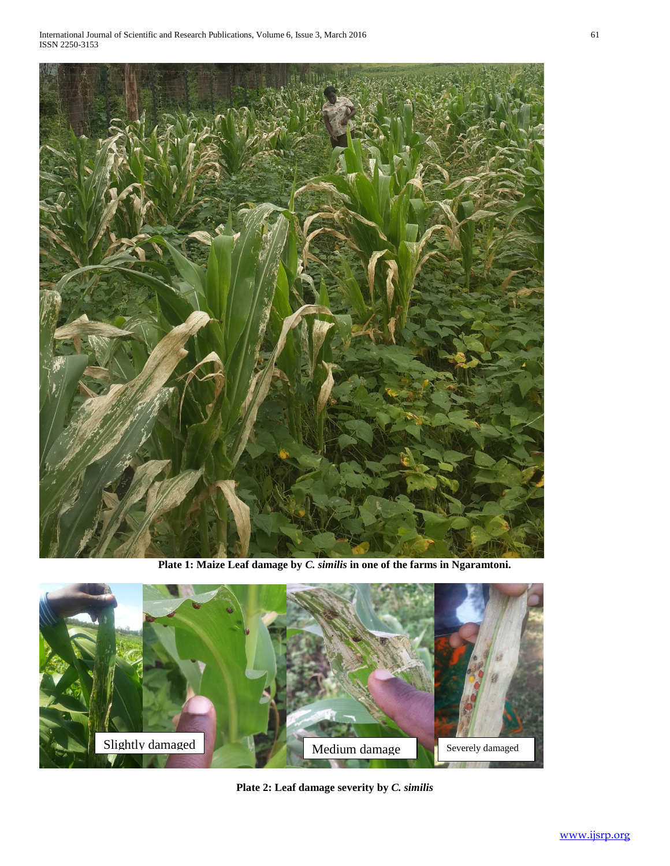

**Plate 1: Maize Leaf damage by** *C. similis* **in one of the farms in Ngaramtoni.**



**Plate 2: Leaf damage severity by** *C. similis*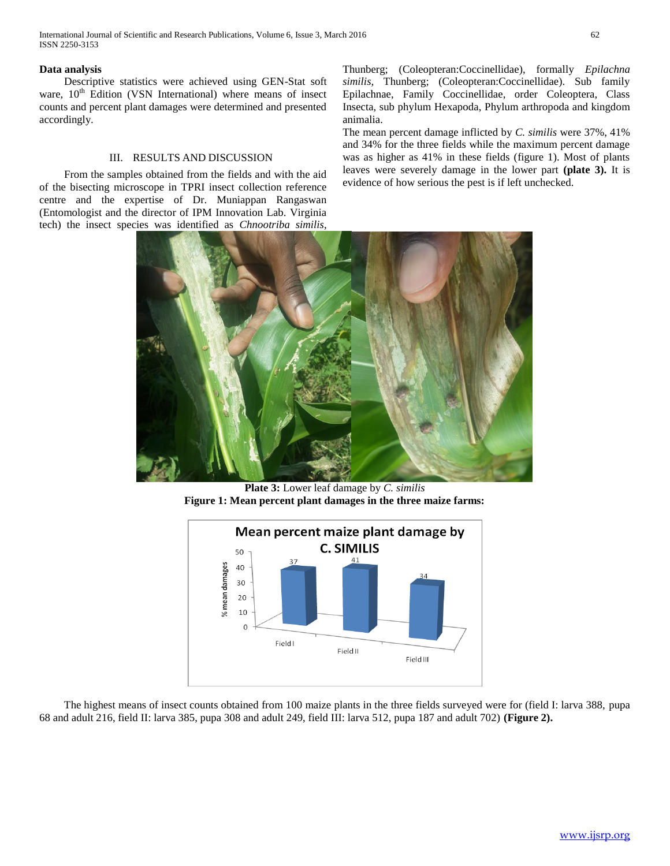# **Data analysis**

 Descriptive statistics were achieved using GEN-Stat soft ware, 10<sup>th</sup> Edition (VSN International) where means of insect counts and percent plant damages were determined and presented accordingly.

#### III. RESULTS AND DISCUSSION

 From the samples obtained from the fields and with the aid of the bisecting microscope in TPRI insect collection reference centre and the expertise of Dr. Muniappan Rangaswan (Entomologist and the director of IPM Innovation Lab. Virginia tech) the insect species was identified as *Chnootriba similis*,

Thunberg; (Coleopteran:Coccinellidae), formally *Epilachna similis,* Thunberg; (Coleopteran:Coccinellidae). Sub family Epilachnae, Family Coccinellidae, order Coleoptera, Class Insecta, sub phylum Hexapoda, Phylum arthropoda and kingdom animalia.

The mean percent damage inflicted by *C. similis* were 37%, 41% and 34% for the three fields while the maximum percent damage was as higher as 41% in these fields (figure 1). Most of plants leaves were severely damage in the lower part **(plate 3).** It is evidence of how serious the pest is if left unchecked.



**Plate 3:** Lower leaf damage by *C. similis* **Figure 1: Mean percent plant damages in the three maize farms:**



 The highest means of insect counts obtained from 100 maize plants in the three fields surveyed were for (field I: larva 388, pupa 68 and adult 216, field II: larva 385, pupa 308 and adult 249, field III: larva 512, pupa 187 and adult 702) **(Figure 2).**